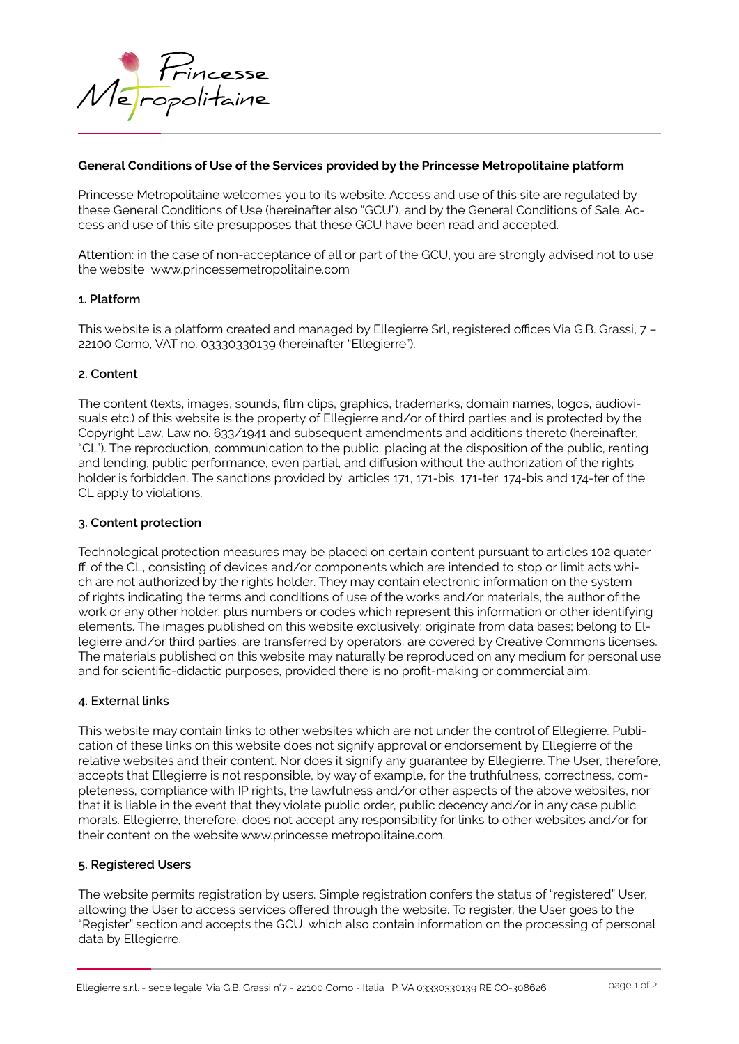

# **General Conditions of Use of the Services provided by the Princesse Metropolitaine platform**

Princesse Metropolitaine welcomes you to its website. Access and use of this site are regulated by these General Conditions of Use (hereinafter also "GCU"), and by the General Conditions of Sale. Access and use of this site presupposes that these GCU have been read and accepted.

Attention: in the case of non-acceptance of all or part of the GCU, you are strongly advised not to use the website www.princessemetropolitaine.com

#### **1. Platform**

This website is a platform created and managed by Ellegierre Srl, registered offices Via G.B. Grassi, 7 – 22100 Como, VAT no. 03330330139 (hereinafter "Ellegierre").

#### **2. Content**

The content (texts, images, sounds, film clips, graphics, trademarks, domain names, logos, audiovisuals etc.) of this website is the property of Ellegierre and/or of third parties and is protected by the Copyright Law, Law no. 633/1941 and subsequent amendments and additions thereto (hereinafter, "CL"). The reproduction, communication to the public, placing at the disposition of the public, renting and lending, public performance, even partial, and diffusion without the authorization of the rights holder is forbidden. The sanctions provided by articles 171, 171-bis, 171-ter, 174-bis and 174-ter of the CL apply to violations.

#### **3. Content protection**

Technological protection measures may be placed on certain content pursuant to articles 102 quater ff. of the CL, consisting of devices and/or components which are intended to stop or limit acts which are not authorized by the rights holder. They may contain electronic information on the system of rights indicating the terms and conditions of use of the works and/or materials, the author of the work or any other holder, plus numbers or codes which represent this information or other identifying elements. The images published on this website exclusively: originate from data bases; belong to Ellegierre and/or third parties; are transferred by operators; are covered by Creative Commons licenses. The materials published on this website may naturally be reproduced on any medium for personal use and for scientific-didactic purposes, provided there is no profit-making or commercial aim.

#### **4. External links**

This website may contain links to other websites which are not under the control of Ellegierre. Publication of these links on this website does not signify approval or endorsement by Ellegierre of the relative websites and their content. Nor does it signify any guarantee by Ellegierre. The User, therefore, accepts that Ellegierre is not responsible, by way of example, for the truthfulness, correctness, completeness, compliance with IP rights, the lawfulness and/or other aspects of the above websites, nor that it is liable in the event that they violate public order, public decency and/or in any case public morals. Ellegierre, therefore, does not accept any responsibility for links to other websites and/or for their content on the website www.princesse metropolitaine.com.

# **5. Registered Users**

The website permits registration by users. Simple registration confers the status of "registered" User, allowing the User to access services offered through the website. To register, the User goes to the "Register" section and accepts the GCU, which also contain information on the processing of personal data by Ellegierre.